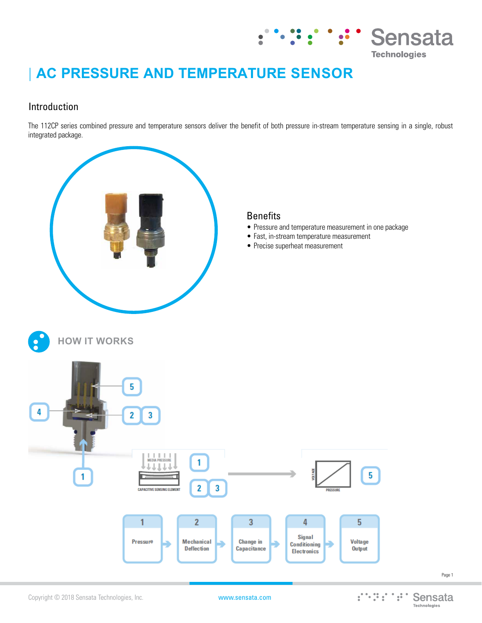

# **| AC PRESSURE AND TEMPERATURE SENSOR**

## Introduction

The 112CP series combined pressure and temperature sensors deliver the benefit of both pressure in-stream temperature sensing in a single, robust integrated package.



Page 1